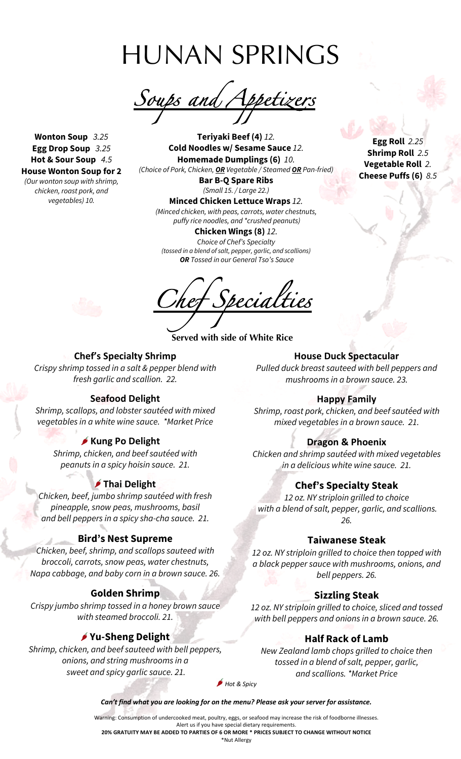HUNAN SPRINGS

*Soups and Appetizers* 

**Wonton Soup** *3.25* **Egg Drop Soup** *3.25* **Hot & Sour Soup** *4.5* **House Wonton Soup for 2** *(Our wonton soup with shrimp,*

*chicken, roast pork, and vegetables) 10.*

 **Teriyaki Beef (4)** *12.* **Cold Noodles w/ Sesame Sauce** *12.* **Homemade Dumplings (6)** *10. (Choice of Pork, Chicken, OR Vegetable / Steamed OR Pan-fried)*

> **Bar B-Q Spare Ribs** *(Small 15. / Large 22.)*

**Minced Chicken Lettuce Wraps** *12. (Minced chicken, with peas, carrots, water chestnuts, puffy rice noodles, and \*crushed peanuts)*

**Chicken Wings (8)** *12. Choice of Chef's Specialty (tossed in a blend of salt, pepper, garlic, and scallions) OR Tossed in our General Tso's Sauce*

*Chef Specialties* 

**Served with side of White Rice**

**Egg Roll** *2.25* **Shrimp Roll** *2.5* **Vegetable Roll** *2.* **Cheese Puffs (6)** *8.5*



# **Chef's Specialty Shrimp**

*Crispy shrimp tossed in a salt & pepper blend with fresh garlic and scallion. 22.*

### **Seafood Delight**

*Shrimp, scallops, and lobster sautéed with mixed vegetables in a white wine sauce. \*Market Price*

### **Kung Po Delight**

*Shrimp, chicken, and beef sautéed with peanuts in a spicy hoisin sauce. 21.*

## **Thai Delight**

*Chicken, beef, jumbo shrimp sautéed with fresh pineapple, snow peas, mushrooms, basil and bell peppers in a spicy sha-cha sauce. 21.*

## **Bird's Nest Supreme**

*Chicken, beef, shrimp, and scallops sauteed with broccoli, carrots, snow peas, water chestnuts, Napa cabbage, and baby corn in a brown sauce. 26.*

## **Golden Shrimp**

*Crispy jumbo shrimp tossed in a honey brown sauce with steamed broccoli. 21.*

## **Yu-Sheng Delight**

*Shrimp, chicken, and beef sauteed with bell peppers, onions, and string mushrooms in a sweet and spicy garlic sauce. 21.*

**House Duck Spectacular**

*Pulled duck breast sauteed with bell peppers and mushrooms in a brown sauce. 23.*

#### **Happy Family**

*Shrimp, roast pork, chicken, and beef sautéed with mixed vegetables in a brown sauce. 21.*

### **Dragon & Phoenix**

*Chicken and shrimp sautéed with mixed vegetables in a delicious white wine sauce. 21.*

### **Chef's Specialty Steak**

*12 oz. NY striploin grilled to choice with a blend of salt, pepper, garlic, and scallions. 26.*

#### **Taiwanese Steak**

*12 oz. NY striploin grilled to choice then topped with a black pepper sauce with mushrooms, onions, and bell peppers. 26.*

### **Sizzling Steak**

*12 oz. NY striploin grilled to choice, sliced and tossed with bell peppers and onions in a brown sauce. 26.*

## **Half Rack of Lamb**

*New Zealand lamb chops grilled to choice then tossed in a blend of salt, pepper, garlic, and scallions. \*Market Price*

*Hot & Spicy*

*Can't find what you are looking for on the menu? Please ask your server for assistance.*

Warning: Consumption of undercooked meat, poultry, eggs, or seafood may increase the risk of foodborne illnesses. Alert us if you have special dietary requirements.

**20% GRATUITY MAY BE ADDED TO PARTIES OF 6 OR MORE \* PRICES SUBJECT TO CHANGE WITHOUT NOTICE**